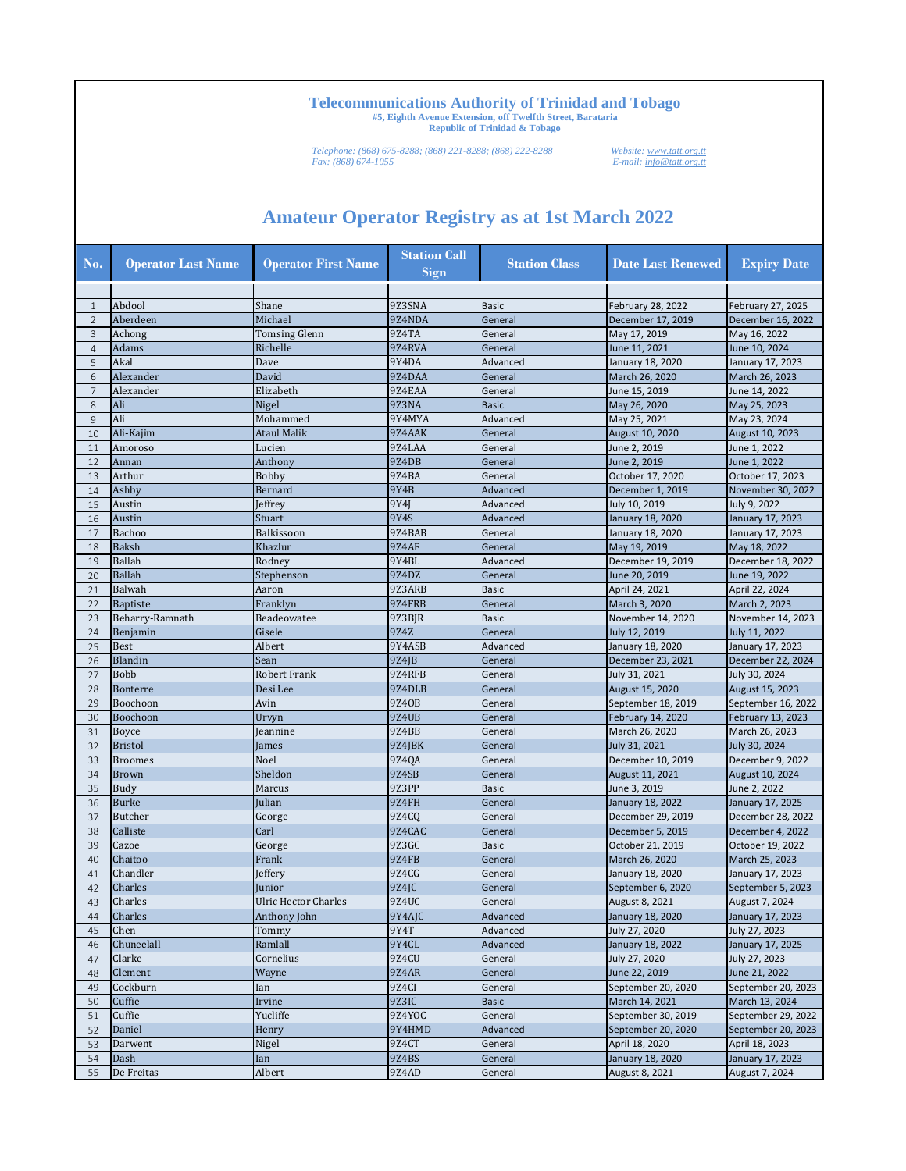*Telephone: (868) 675-8288; (868) 221-8288; (868) 222-8288 Website: www.tatt.org.tt Fax: (868) 674-1055 E-mail: info@tatt.org.tt*

| No.            | <b>Operator Last Name</b> | <b>Operator First Name</b> | <b>Station Call</b><br><b>Sign</b> | <b>Station Class</b> | <b>Date Last Renewed</b>              | <b>Expiry Date</b>                    |
|----------------|---------------------------|----------------------------|------------------------------------|----------------------|---------------------------------------|---------------------------------------|
|                |                           |                            |                                    |                      |                                       |                                       |
| $\mathbf{1}$   | Abdool                    | Shane                      | 9Z3SNA                             | <b>Basic</b>         | February 28, 2022                     | February 27, 2025                     |
| $\overline{2}$ | Aberdeen                  | Michael                    | 9Z4NDA                             | General              | December 17, 2019                     | December 16, 2022                     |
| 3              | Achong                    | <b>Tomsing Glenn</b>       | 9Z4TA                              | General              | May 17, 2019                          | May 16, 2022                          |
| $\overline{4}$ | Adams                     | Richelle                   | 9Z4RVA                             | General              | June 11, 2021                         | June 10, 2024                         |
| 5              | Akal                      | Dave                       | 9Y4DA                              | Advanced             | January 18, 2020                      | January 17, 2023                      |
| 6              | Alexander                 | David                      | 9Z4DAA                             | General              | March 26, 2020                        | March 26, 2023                        |
| $\overline{7}$ | Alexander                 | Elizabeth                  | 9Z4EAA                             | General              | June 15, 2019                         | June 14, 2022                         |
| 8              | Ali                       | Nigel                      | 9Z3NA                              | <b>Basic</b>         | May 26, 2020                          | May 25, 2023                          |
| $\overline{9}$ | Ali                       | Mohammed                   | 9Y4MYA                             | Advanced             | May 25, 2021                          | May 23, 2024                          |
| 10             | Ali-Kajim                 | <b>Ataul Malik</b>         | 9Z4AAK                             | General              | August 10, 2020                       | August 10, 2023                       |
| 11             | Amoroso                   | Lucien                     | 9Z4LAA                             | General              | June 2, 2019                          | June 1, 2022                          |
| 12             | Annan                     | Anthony                    | 9Z4DB                              | General              | June 2, 2019                          | June 1, 2022                          |
| 13             | Arthur                    | <b>Bobby</b>               | 9Z4BA                              | General              | October 17, 2020                      | October 17, 2023                      |
| 14             | Ashby                     | Bernard                    | 9Y4B                               | Advanced             | December 1, 2019                      | November 30, 2022                     |
| 15             | Austin                    | Jeffrey                    | 9Y4J                               | Advanced             | July 10, 2019                         | July 9, 2022                          |
| 16             | Austin                    | Stuart                     | 9Y4S                               | Advanced             | January 18, 2020                      | January 17, 2023                      |
| 17             | Bachoo                    | Balkissoon                 | 9Z4BAB                             | General              | January 18, 2020                      | January 17, 2023                      |
| 18             | <b>Baksh</b>              | Khazlur                    | 9Z4AF                              | General              | May 19, 2019                          | May 18, 2022                          |
| 19             | Ballah                    |                            | 9Y4BL                              | Advanced             |                                       |                                       |
|                |                           | Rodney                     |                                    |                      | December 19, 2019                     | December 18, 2022                     |
| 20             | <b>Ballah</b>             | Stephenson                 | 9Z4DZ                              | General              | June 20, 2019                         | June 19, 2022                         |
| 21             | Balwah                    | Aaron                      | 9Z3ARB                             | <b>Basic</b>         | April 24, 2021                        | April 22, 2024                        |
| 22             | <b>Baptiste</b>           | Franklyn                   | 9Z4FRB                             | General              | March 3, 2020                         | March 2, 2023                         |
| 23             | Beharry-Ramnath           | Beadeowatee                | 9Z3BJR                             | <b>Basic</b>         | November 14, 2020                     | November 14, 2023                     |
| 24             | Benjamin                  | Gisele                     | 9Z4Z                               | General              | July 12, 2019                         | July 11, 2022                         |
| 25             | <b>Best</b>               | Albert                     | 9Y4ASB                             | Advanced             | January 18, 2020                      | January 17, 2023                      |
| 26             | <b>Blandin</b>            | Sean                       | 9Z4JB                              | General              | December 23, 2021                     | December 22, 2024                     |
| 27             | <b>Bobb</b>               | Robert Frank               | 9Z4RFB                             | General              | July 31, 2021                         | July 30, 2024                         |
| 28             | Bonterre                  | Desi Lee                   | 9Z4DLB                             | General              | August 15, 2020                       | August 15, 2023                       |
| 29             | Boochoon                  | Avin                       | 9Z40B                              | General              | September 18, 2019                    | September 16, 2022                    |
| 30             | Boochoon                  | Urvyn                      | 9Z4UB                              | General              | February 14, 2020                     | February 13, 2023                     |
| 31             | Boyce                     | Jeannine                   | 9Z4BB                              | General              | March 26, 2020                        | March 26, 2023                        |
| 32             | <b>Bristol</b>            | James                      | 9Z4JBK                             | General              | July 31, 2021                         | July 30, 2024                         |
| 33             | <b>Broomes</b>            | Noel                       | 9Z4QA                              | General              | December 10, 2019                     | December 9, 2022                      |
| 34             | <b>Brown</b>              | Sheldon                    | 9Z4SB                              | General              | August 11, 2021                       | August 10, 2024                       |
| 35             | Budy                      | Marcus                     | 9Z3PP                              | <b>Basic</b>         | June 3, 2019                          | June 2, 2022                          |
| 36             | <b>Burke</b>              | Julian                     | 9Z4FH                              | General              | January 18, 2022                      | January 17, 2025                      |
| 37             | Butcher                   | George                     | 9Z4CO                              | General              | December 29, 2019                     | December 28, 2022                     |
| 38             | Calliste                  | Carl                       | 9Z4CAC                             | General              | December 5, 2019                      | December 4, 2022                      |
| 39             | Cazoe                     | George                     | 9Z3GC                              | <b>Basic</b>         | October 21, 2019                      | October 19, 2022                      |
| 40             | Chaitoo                   | Frank                      | 9Z4FB                              | General              | March 26, 2020                        | March 25, 2023                        |
| 41             | Chandler                  |                            | 9Z4CG                              | General              |                                       |                                       |
| 42             | Charles                   | Jeffery<br>Junior          | 9Z4JC                              | General              | January 18, 2020<br>September 6, 2020 | January 17, 2023<br>September 5, 2023 |
|                |                           |                            |                                    |                      |                                       |                                       |
| 43             | Charles                   | Ulric Hector Charles       | 9Z4UC                              | General              | August 8, 2021                        | August 7, 2024                        |
| 44             | Charles                   | Anthony John               | 9Y4AJC                             | Advanced             | January 18, 2020                      | January 17, 2023                      |
| 45             | Chen                      | Tommy                      | 9Y4T                               | Advanced             | July 27, 2020                         | July 27, 2023                         |
| 46             | Chuneelall                | Ramlall                    | 9Y4CL                              | Advanced             | January 18, 2022                      | January 17, 2025                      |
| 47             | Clarke                    | Cornelius                  | 9Z4CU                              | General              | July 27, 2020                         | July 27, 2023                         |
| 48             | Clement                   | Wayne                      | 9Z4AR                              | General              | June 22, 2019                         | June 21, 2022                         |
| 49             | Cockburn                  | Ian                        | 9Z4CI                              | General              | September 20, 2020                    | September 20, 2023                    |
| 50             | Cuffie                    | Irvine                     | 9Z3IC                              | <b>Basic</b>         | March 14, 2021                        | March 13, 2024                        |
| 51             | Cuffie                    | Yucliffe                   | 9Z4YOC                             | General              | September 30, 2019                    | September 29, 2022                    |
| 52             | Daniel                    | Henry                      | 9Y4HMD                             | Advanced             | September 20, 2020                    | September 20, 2023                    |
| 53             | Darwent                   | Nigel                      | 9Z4CT                              | General              | April 18, 2020                        | April 18, 2023                        |
| 54             | Dash                      | Ian                        | 9Z4BS                              | General              | January 18, 2020                      | January 17, 2023                      |
| 55             | De Freitas                | Albert                     | 9Z4AD                              | General              | August 8, 2021                        | August 7, 2024                        |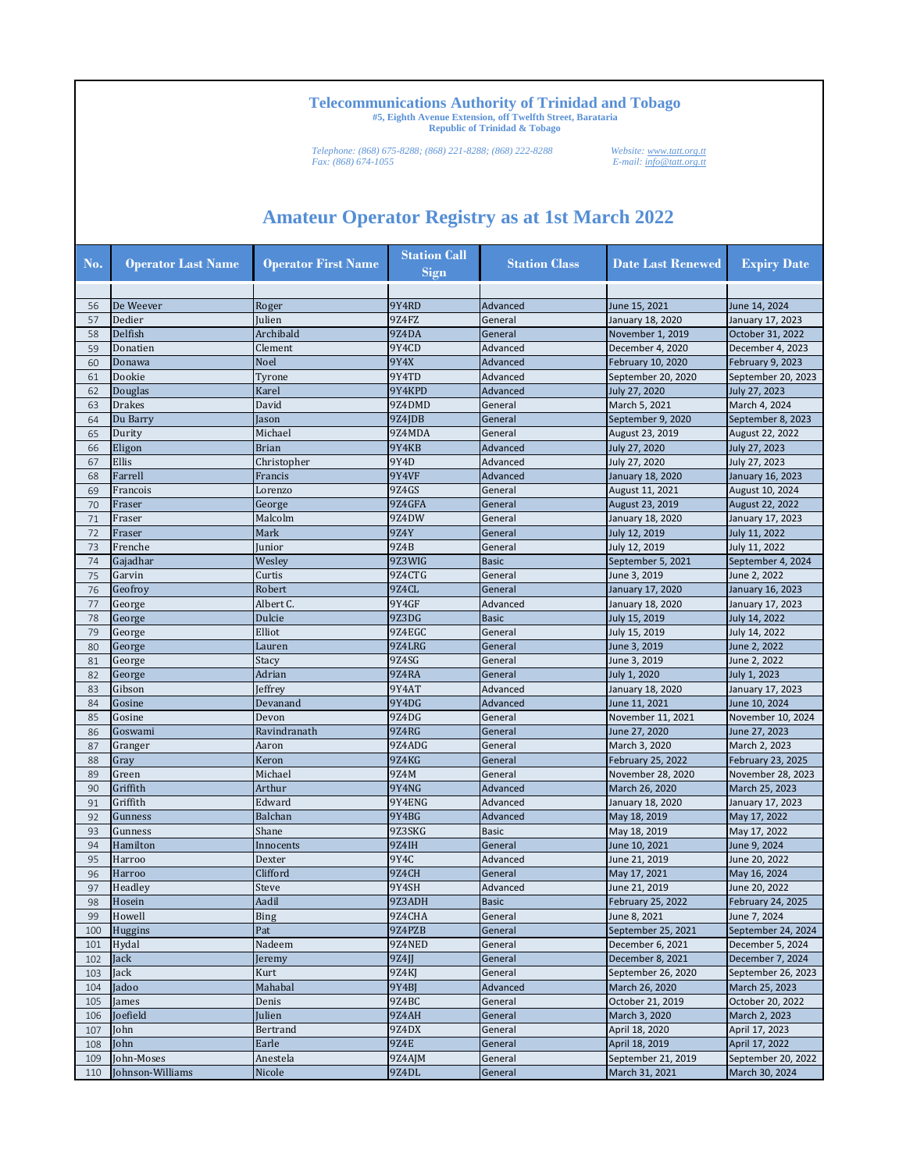*Telephone: (868) 675-8288; (868) 221-8288; (868) 222-8288 Website: www.tatt.org.tt Fax: (868) 674-1055 E-mail: info@tatt.org.tt*

| No. | <b>Operator Last Name</b> | <b>Operator First Name</b> | <b>Station Call</b><br>Sign | <b>Station Class</b> | <b>Date Last Renewed</b> | <b>Expiry Date</b>       |
|-----|---------------------------|----------------------------|-----------------------------|----------------------|--------------------------|--------------------------|
|     |                           |                            |                             |                      |                          |                          |
| 56  | De Weever                 | Roger                      | 9Y4RD                       | Advanced             | June 15, 2021            | June 14, 2024            |
| 57  | Dedier                    | Julien                     | 9Z4FZ                       | General              | January 18, 2020         | January 17, 2023         |
| 58  | Delfish                   | Archibald                  | 9Z4DA                       | General              | November 1, 2019         | October 31, 2022         |
| 59  | Donatien                  | Clement                    | 9Y4CD                       | Advanced             | December 4, 2020         | December 4, 2023         |
| 60  | Donawa                    | Noel                       | 9Y4X                        | Advanced             | February 10, 2020        | February 9, 2023         |
| 61  | Dookie                    | Tyrone                     | 9Y4TD                       | Advanced             | September 20, 2020       | September 20, 2023       |
| 62  | Douglas                   | Karel                      | 9Y4KPD                      | Advanced             | July 27, 2020            | July 27, 2023            |
| 63  | <b>Drakes</b>             | David                      | 9Z4DMD                      | General              | March 5, 2021            | March 4, 2024            |
| 64  | Du Barry                  | Jason                      | 9Z4JDB                      | General              | September 9, 2020        | September 8, 2023        |
| 65  | Durity                    | Michael                    | 9Z4MDA                      | General              | August 23, 2019          | August 22, 2022          |
| 66  | Eligon                    | <b>Brian</b>               | 9Y4KB                       | Advanced             | July 27, 2020            | July 27, 2023            |
| 67  | Ellis                     | Christopher                | 9Y4D                        | Advanced             | July 27, 2020            | July 27, 2023            |
| 68  | Farrell                   | Francis                    | 9Y4VF                       | Advanced             | January 18, 2020         | January 16, 2023         |
| 69  | Francois                  | Lorenzo                    | 9Z4GS                       | General              | August 11, 2021          | August 10, 2024          |
| 70  | Fraser                    | George                     | 9Z4GFA                      | General              | August 23, 2019          | August 22, 2022          |
| 71  | Fraser                    | Malcolm                    | 9Z4DW                       | General              | January 18, 2020         | January 17, 2023         |
| 72  | Fraser                    | Mark                       | 9Z4Y                        | General              | July 12, 2019            | July 11, 2022            |
| 73  | Frenche                   | Junior                     | 9Z4B                        | General              | July 12, 2019            | July 11, 2022            |
| 74  | Gajadhar                  | Wesley                     | 9Z3WIG                      | <b>Basic</b>         | September 5, 2021        | September 4, 2024        |
| 75  | Garvin                    | Curtis                     | 9Z4CTG                      | General              | June 3, 2019             | June 2, 2022             |
| 76  | Geofroy                   | Robert                     | 9Z4CL                       | General              | January 17, 2020         | January 16, 2023         |
| 77  | George                    | Albert C.                  | 9Y4GF                       | Advanced             | January 18, 2020         | January 17, 2023         |
| 78  | George                    | Dulcie                     | 9Z3DG                       | <b>Basic</b>         | July 15, 2019            | July 14, 2022            |
| 79  | George                    | Elliot                     | 9Z4EGC                      | General              | July 15, 2019            | July 14, 2022            |
| 80  | George                    | Lauren                     | 9Z4LRG                      | General              | June 3, 2019             | June 2, 2022             |
| 81  | George                    | Stacy                      | 9Z4SG                       | General              | June 3, 2019             | June 2, 2022             |
| 82  | George                    | Adrian                     | 9Z4RA                       | General              | July 1, 2020             | July 1, 2023             |
| 83  | Gibson                    | Jeffrey                    | 9Y4AT                       | Advanced             | January 18, 2020         | January 17, 2023         |
| 84  | Gosine                    | Devanand                   | 9Y4DG                       | Advanced             | June 11, 2021            | June 10, 2024            |
| 85  | Gosine                    | Devon                      | 9Z4DG                       | General              | November 11, 2021        | November 10, 2024        |
| 86  | Goswami                   | Ravindranath               | 9Z4RG                       | General              | June 27, 2020            | June 27, 2023            |
| 87  | Granger                   | Aaron                      | 9Z4ADG                      | General              | March 3, 2020            | March 2, 2023            |
| 88  | Gray                      | Keron                      | 9Z4KG                       | General              | <b>February 25, 2022</b> | February 23, 2025        |
| 89  | Green                     | Michael                    | 9Z4M                        | General              | November 28, 2020        | November 28, 2023        |
| 90  | Griffith                  | Arthur                     | 9Y4NG                       | Advanced             | March 26, 2020           | March 25, 2023           |
| 91  | Griffith                  | Edward                     | 9Y4ENG                      | Advanced             | January 18, 2020         | January 17, 2023         |
| 92  | Gunness                   | Balchan                    | 9Y4BG                       | Advanced             | May 18, 2019             | May 17, 2022             |
| 93  | Gunness                   | Shane                      | 9Z3SKG                      | <b>Basic</b>         | May 18, 2019             | May 17, 2022             |
| 94  | Hamilton                  | Innocents                  | 9Z4IH                       | General              | June 10, 2021            | June 9, 2024             |
| 95  | Harroo                    | Dexter                     | 9Y4C                        | Advanced             | June 21, 2019            | June 20, 2022            |
| 96  | Harroo                    | Clifford                   | 9Z4CH                       | General              | May 17, 2021             | May 16, 2024             |
| 97  | Headley                   | Steve                      | 9Y4SH                       | Advanced             | June 21, 2019            | June 20, 2022            |
| 98  | Hosein                    | Aadil                      | 9Z3ADH                      | <b>Basic</b>         | <b>February 25, 2022</b> | <b>February 24, 2025</b> |
| 99  | Howell                    | <b>Bing</b>                | 9Z4CHA                      | General              | June 8, 2021             | June 7, 2024             |
| 100 | Huggins                   | Pat                        | 9Z4PZB                      | General              | September 25, 2021       | September 24, 2024       |
| 101 | Hydal                     | Nadeem                     | 9Z4NED                      | General              | December 6, 2021         | December 5, 2024         |
| 102 | Jack                      | Jeremy                     | 9Z4JJ                       | General              | December 8, 2021         | December 7, 2024         |
| 103 | Jack                      | Kurt                       | 9Z4KJ                       | General              | September 26, 2020       | September 26, 2023       |
| 104 | Jadoo                     | Mahabal                    | 9Y4BJ                       | Advanced             | March 26, 2020           | March 25, 2023           |
| 105 | James                     | Denis                      | 9Z4BC                       | General              | October 21, 2019         | October 20, 2022         |
| 106 | Joefield                  | Julien                     | 9Z4AH                       | General              | March 3, 2020            | March 2, 2023            |
| 107 | John                      | Bertrand                   | 9Z4DX                       | General              | April 18, 2020           | April 17, 2023           |
| 108 | John                      | Earle                      | <b>9Z4E</b>                 | General              | April 18, 2019           | April 17, 2022           |
| 109 | John-Moses                | Anestela                   | 9Z4AJM                      | General              | September 21, 2019       | September 20, 2022       |
| 110 | Johnson-Williams          | Nicole                     | 9Z4DL                       | General              | March 31, 2021           | March 30, 2024           |
|     |                           |                            |                             |                      |                          |                          |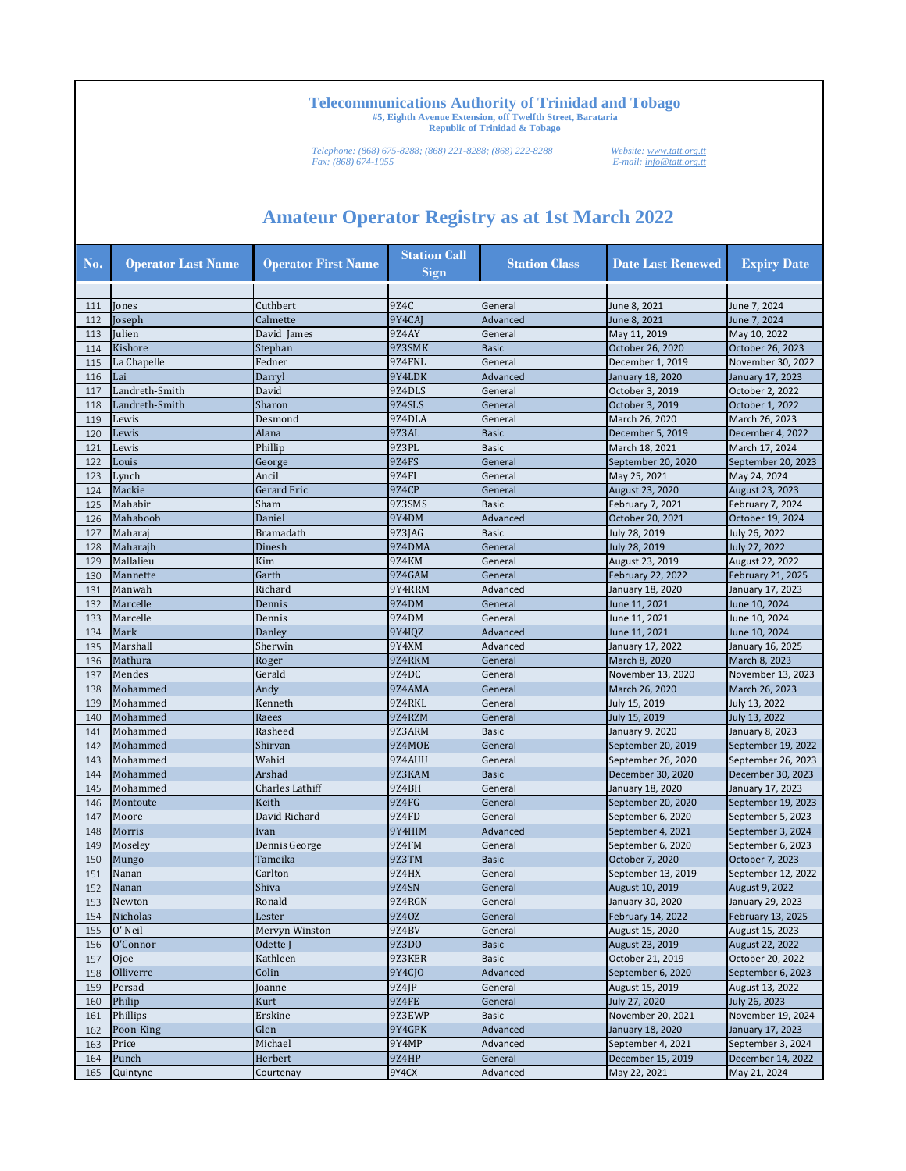*Telephone: (868) 675-8288; (868) 221-8288; (868) 222-8288 Website: www.tatt.org.tt Fax: (868) 674-1055 E-mail: info@tatt.org.tt*

| No. | <b>Operator Last Name</b> | <b>Operator First Name</b> | <b>Station Call</b><br><b>Sign</b> | <b>Station Class</b> | <b>Date Last Renewed</b>             | <b>Expiry Date</b> |
|-----|---------------------------|----------------------------|------------------------------------|----------------------|--------------------------------------|--------------------|
|     |                           |                            |                                    |                      |                                      |                    |
| 111 | Jones                     | Cuthbert                   | 9Z4C                               | General              | June 8, 2021                         | June 7, 2024       |
| 112 | Joseph                    | Calmette                   | 9Y4CAJ                             | Advanced             | June 8, 2021                         | June 7, 2024       |
| 113 | Julien                    | David James                | 9Z4AY                              | General              | May 11, 2019                         | May 10, 2022       |
| 114 | Kishore                   | Stephan                    | 9Z3SMK                             | <b>Basic</b>         | October 26, 2020                     | October 26, 2023   |
| 115 | La Chapelle               | Fedner                     | 9Z4FNL                             | General              | December 1, 2019                     | November 30, 2022  |
| 116 | Lai                       | Darryl                     | 9Y4LDK                             | Advanced             | January 18, 2020                     | January 17, 2023   |
| 117 | Landreth-Smith            | David                      | 9Z4DLS                             | General              | October 3, 2019                      | October 2, 2022    |
| 118 | Landreth-Smith            | Sharon                     | 9Z4SLS                             | General              | October 3, 2019                      | October 1, 2022    |
| 119 | Lewis                     | Desmond                    | 9Z4DLA                             | General              | March 26, 2020                       | March 26, 2023     |
| 120 | Lewis                     | Alana                      | 9Z3AL                              | <b>Basic</b>         | December 5, 2019                     | December 4, 2022   |
| 121 | Lewis                     | Phillip                    | 9Z3PL                              | <b>Basic</b>         | March 18, 2021                       | March 17, 2024     |
| 122 | Louis                     | George                     | 9Z4FS                              | General              | September 20, 2020                   | September 20, 2023 |
| 123 | Lynch                     | Ancil                      | 9Z4FI                              | General              | May 25, 2021                         | May 24, 2024       |
| 124 | Mackie                    | Gerard Eric                | 9Z4CP                              | General              | August 23, 2020                      | August 23, 2023    |
| 125 | Mahabir                   | Sham                       | 9Z3SMS                             | <b>Basic</b>         | February 7, 2021                     | February 7, 2024   |
| 126 | Mahaboob                  | Daniel                     | 9Y4DM                              | Advanced             | October 20, 2021                     | October 19, 2024   |
| 127 | Maharaj                   | <b>Bramadath</b>           | 9Z3JAG                             | <b>Basic</b>         | July 28, 2019                        | July 26, 2022      |
| 128 | Maharajh                  | Dinesh                     | 9Z4DMA                             | General              | July 28, 2019                        | July 27, 2022      |
| 129 | Mallalieu                 | Kim                        | 9Z4KM                              | General              | August 23, 2019                      | August 22, 2022    |
| 130 | Mannette                  | Garth                      | 9Z4GAM                             | General              | February 22, 2022                    | February 21, 2025  |
| 131 | Manwah                    | Richard                    | 9Y4RRM                             | Advanced             | January 18, 2020                     | January 17, 2023   |
| 132 | Marcelle                  | Dennis                     | 9Z4DM                              | General              | June 11, 2021                        | June 10, 2024      |
| 133 | Marcelle                  | Dennis                     | 9Z4DM                              | General              | June 11, 2021                        | June 10, 2024      |
| 134 | Mark                      | Danley                     | 9Y4I0Z                             | Advanced             | June 11, 2021                        | June 10, 2024      |
| 135 | Marshall                  | Sherwin                    | 9Y4XM                              | Advanced             | January 17, 2022                     | January 16, 2025   |
| 136 | Mathura                   | Roger                      | 9Z4RKM                             | General              | March 8, 2020                        | March 8, 2023      |
| 137 | Mendes                    | Gerald                     | 9Z4DC                              | General              | November 13, 2020                    | November 13, 2023  |
| 138 | Mohammed                  | Andy                       | 9Z4AMA                             | General              | March 26, 2020                       | March 26, 2023     |
| 139 | Mohammed                  | Kenneth                    | 9Z4RKL                             | General              | July 15, 2019                        | July 13, 2022      |
| 140 | Mohammed                  | Raees                      | 9Z4RZM                             | General              | July 15, 2019                        | July 13, 2022      |
| 141 | Mohammed                  | Rasheed                    | 9Z3ARM                             | <b>Basic</b>         | January 9, 2020                      | January 8, 2023    |
| 142 | Mohammed                  | Shirvan                    | 9Z4MOE                             | General              | September 20, 2019                   | September 19, 2022 |
| 143 | Mohammed                  | Wahid                      | 9Z4AUU                             | General              | September 26, 2020                   | September 26, 2023 |
| 144 | Mohammed                  | Arshad                     | 9Z3KAM                             | <b>Basic</b>         | December 30, 2020                    | December 30, 2023  |
| 145 | Mohammed                  | <b>Charles Lathiff</b>     | 9Z4BH                              | General              | January 18, 2020                     | January 17, 2023   |
| 146 | Montoute                  | Keith                      | 9Z4FG                              | General              | September 20, 2020                   | September 19, 2023 |
| 147 | Moore                     | David Richard              | 9Z4FD                              | General              | September 6, 2020                    | September 5, 2023  |
| 148 | Morris                    | Ivan                       | 9Y4HIM                             | Advanced             | September 4, 2021                    | September 3, 2024  |
| 149 | Moseley                   |                            | 9Z4FM                              | General              |                                      | September 6, 2023  |
|     |                           | Dennis George<br>Tameika   | 9Z3TM                              | <b>Basic</b>         | September 6, 2020<br>October 7, 2020 | October 7, 2023    |
| 150 | Mungo<br>Nanan            | Carlton                    | 9Z4HX                              |                      |                                      | September 12, 2022 |
| 151 |                           |                            |                                    | General              | September 13, 2019                   |                    |
| 152 | Nanan                     | Shiva                      | 9Z4SN                              | General              | August 10, 2019                      | August 9, 2022     |
| 153 | Newton                    | Ronald                     | 9Z4RGN                             | General              | January 30, 2020                     | January 29, 2023   |
| 154 | Nicholas                  | Lester                     | 9Z40Z                              | General              | February 14, 2022                    | February 13, 2025  |
| 155 | O' Neil                   | Mervyn Winston             | 9Z4BV                              | General              | August 15, 2020                      | August 15, 2023    |
| 156 | O'Connor                  | Odette J                   | 9Z3DO                              | <b>Basic</b>         | August 23, 2019                      | August 22, 2022    |
| 157 | Ojoe                      | Kathleen                   | 9Z3KER                             | <b>Basic</b>         | October 21, 2019                     | October 20, 2022   |
| 158 | Olliverre                 | Colin                      | 9Y4CJO                             | Advanced             | September 6, 2020                    | September 6, 2023  |
| 159 | Persad                    | Joanne                     | 9Z4JP                              | General              | August 15, 2019                      | August 13, 2022    |
| 160 | Philip                    | Kurt                       | 9Z4FE                              | General              | July 27, 2020                        | July 26, 2023      |
| 161 | Phillips                  | Erskine                    | 9Z3EWP                             | <b>Basic</b>         | November 20, 2021                    | November 19, 2024  |
| 162 | Poon-King                 | Glen                       | 9Y4GPK                             | Advanced             | January 18, 2020                     | January 17, 2023   |
| 163 | Price                     | Michael                    | 9Y4MP                              | Advanced             | September 4, 2021                    | September 3, 2024  |
| 164 | Punch                     | Herbert                    | 9Z4HP                              | General              | December 15, 2019                    | December 14, 2022  |
| 165 | Quintyne                  | Courtenay                  | 9Y4CX                              | Advanced             | May 22, 2021                         | May 21, 2024       |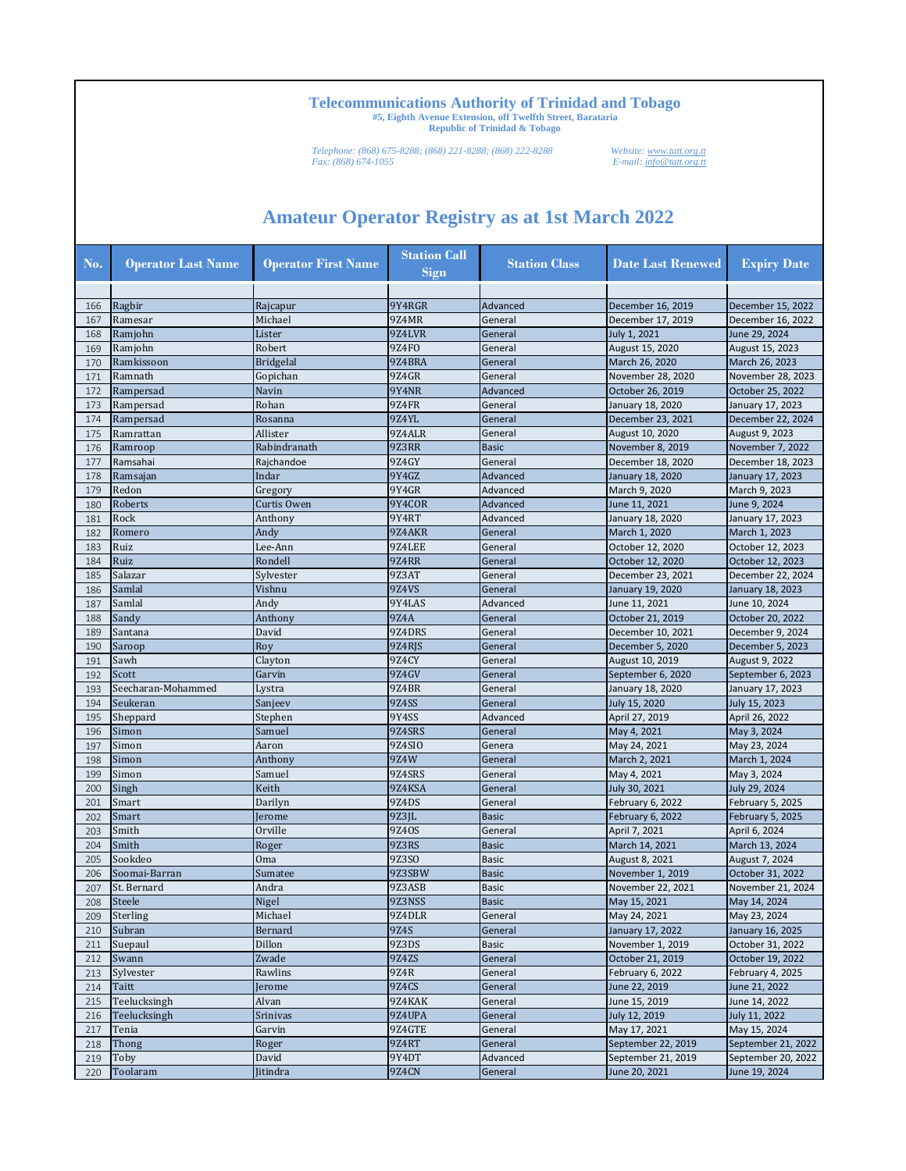*Telephone: (868) 675-8288; (868) 221-8288; (868) 222-8288 Website: www.tatt.org.tt Fax: (868) 674-1055 E-mail: info@tatt.org.tt*

| No. | <b>Operator Last Name</b> | <b>Operator First Name</b> | <b>Station Call</b><br><b>Sign</b> | <b>Station Class</b>    | <b>Date Last Renewed</b> | <b>Expiry Date</b> |
|-----|---------------------------|----------------------------|------------------------------------|-------------------------|--------------------------|--------------------|
|     |                           |                            |                                    |                         |                          |                    |
| 166 | Ragbir                    | Rajcapur                   | 9Y4RGR                             | Advanced                | December 16, 2019        | December 15, 2022  |
| 167 | Ramesar                   | Michael                    | 9Z4MR                              | General                 | December 17, 2019        | December 16, 2022  |
| 168 | Ramjohn                   | Lister                     | 9Z4LVR                             | General                 | July 1, 2021             | June 29, 2024      |
| 169 | Ramjohn                   | Robert                     | 9Z4FO                              | General                 | August 15, 2020          | August 15, 2023    |
| 170 | Ramkissoon                | <b>Bridgelal</b>           | 9Z4BRA                             | General                 | March 26, 2020           | March 26, 2023     |
| 171 | Ramnath                   | Gopichan                   | 9Z4GR                              | General                 | November 28, 2020        | November 28, 2023  |
| 172 | Rampersad                 | Navin                      | 9Y4NR                              | Advanced                | October 26, 2019         | October 25, 2022   |
| 173 | Rampersad                 | Rohan                      | 9Z4FR                              | General                 | January 18, 2020         | January 17, 2023   |
| 174 | Rampersad                 | Rosanna                    | 9Z4YL                              | General                 | December 23, 2021        | December 22, 2024  |
| 175 | Ramrattan                 | Allister                   | 9Z4ALR                             | General                 | August 10, 2020          | August 9, 2023     |
| 176 | Ramroop                   | Rabindranath               | 9Z3RR                              | <b>Basic</b>            | November 8, 2019         | November 7, 2022   |
| 177 | Ramsahai                  | Rajchandoe                 | 9Z4GY                              | General                 | December 18, 2020        | December 18, 2023  |
| 178 | Ramsajan                  | Indar                      | 9Y4GZ                              | Advanced                | January 18, 2020         | January 17, 2023   |
| 179 | Redon                     | Gregory                    | 9Y4GR                              | Advanced                | March 9, 2020            | March 9, 2023      |
| 180 | Roberts                   | Curtis Owen                | 9Y4COR                             | Advanced                | June 11, 2021            | June 9, 2024       |
| 181 | Rock                      | Anthony                    | 9Y4RT                              | Advanced                | January 18, 2020         | January 17, 2023   |
| 182 | Romero                    | Andy                       | 9Z4AKR                             | General                 | March 1, 2020            | March 1, 2023      |
| 183 | Ruiz                      | Lee-Ann                    | 9Z4LEE                             | General                 | October 12, 2020         | October 12, 2023   |
| 184 | Ruiz                      | Rondell                    | <b>9Z4RR</b>                       | General                 | October 12, 2020         | October 12, 2023   |
| 185 | Salazar                   | Sylvester                  | 9Z3AT                              | General                 | December 23, 2021        | December 22, 2024  |
| 186 | Samlal                    | Vishnu                     | <b>97.4VS</b>                      | General                 | January 19, 2020         | January 18, 2023   |
| 187 | Samlal                    | Andy                       | 9Y4LAS                             | Advanced                | June 11, 2021            | June 10, 2024      |
| 188 | Sandy                     | Anthony                    | 9Z4A                               | General                 | October 21, 2019         | October 20, 2022   |
| 189 | Santana                   | David                      | 9Z4DRS                             | General                 | December 10, 2021        | December 9, 2024   |
| 190 | Saroop                    | Roy                        | 9Z4RJS                             | General                 | December 5, 2020         | December 5, 2023   |
| 191 | Sawh                      | Clayton                    | 97.4CY                             | General                 | August 10, 2019          | August 9, 2022     |
| 192 | Scott                     | Garvin                     | 9Z4GV                              | General                 | September 6, 2020        | September 6, 2023  |
| 193 | Seecharan-Mohammed        | Lystra                     | 9Z4BR                              | General                 | January 18, 2020         | January 17, 2023   |
| 194 | Seukeran                  | Sanjeev                    | <b>9Z4SS</b>                       | General                 | July 15, 2020            | July 15, 2023      |
| 195 | Sheppard                  | Stephen                    | 9Y4SS                              | Advanced                | April 27, 2019           | April 26, 2022     |
| 196 | Simon                     | Samuel                     | 9Z4SRS                             | General                 | May 4, 2021              | May 3, 2024        |
| 197 | Simon                     | Aaron                      | 9Z4SIO                             | Genera                  | May 24, 2021             | May 23, 2024       |
| 198 | Simon                     | Anthony                    | 9Z4W                               | General                 | March 2, 2021            | March 1, 2024      |
| 199 | Simon                     | Samuel                     | 9Z4SRS                             | General                 | May 4, 2021              | May 3, 2024        |
| 200 | Singh                     | Keith                      | 9Z4KSA                             | General                 | July 30, 2021            |                    |
| 201 | Smart                     | Darilyn                    | 9Z4DS                              |                         |                          | July 29, 2024      |
|     |                           |                            |                                    | General<br><b>Basic</b> | February 6, 2022         | February 5, 2025   |
| 202 | Smart                     | Jerome                     | 9Z3JL                              |                         | February 6, 2022         | February 5, 2025   |
| 203 | Smith                     | Orville                    | 9Z4OS                              | General                 | April 7, 2021            | April 6, 2024      |
| 204 | Smith                     | Roger                      | 9Z3RS                              | <b>Basic</b>            | March 14, 2021           | March 13, 2024     |
| 205 | Sookdeo                   | Oma                        | 9Z3SO                              | <b>Basic</b>            | August 8, 2021           | August 7, 2024     |
| 206 | Soomai-Barran             | Sumatee                    | 9Z3SBW                             | <b>Basic</b>            | November 1, 2019         | October 31, 2022   |
| 207 | St. Bernard               | Andra                      | 9Z3ASB                             | <b>Basic</b>            | November 22, 2021        | November 21, 2024  |
| 208 | <b>Steele</b>             | Nigel                      | 9Z3NSS                             | <b>Basic</b>            | May 15, 2021             | May 14, 2024       |
| 209 | Sterling                  | Michael                    | 9Z4DLR                             | General                 | May 24, 2021             | May 23, 2024       |
| 210 | Subran                    | Bernard                    | 9Z4S                               | General                 | January 17, 2022         | January 16, 2025   |
| 211 | Suepaul                   | Dillon                     | 9Z3DS                              | <b>Basic</b>            | November 1, 2019         | October 31, 2022   |
| 212 | Swann                     | Zwade                      | 9Z4ZS                              | General                 | October 21, 2019         | October 19, 2022   |
| 213 | Sylvester                 | Rawlins                    | 9Z4R                               | General                 | February 6, 2022         | February 4, 2025   |
| 214 | Taitt                     | Jerome                     | <b>9Z4CS</b>                       | General                 | June 22, 2019            | June 21, 2022      |
| 215 | Teelucksingh              | Alvan                      | 9Z4KAK                             | General                 | June 15, 2019            | June 14, 2022      |
| 216 | Teelucksingh              | Srinivas                   | 9Z4UPA                             | General                 | July 12, 2019            | July 11, 2022      |
| 217 | Tenia                     | Garvin                     | 9Z4GTE                             | General                 | May 17, 2021             | May 15, 2024       |
| 218 | Thong                     | Roger                      | <b>9Z4RT</b>                       | General                 | September 22, 2019       | September 21, 2022 |
| 219 | Toby                      | David                      | 9Y4DT                              | Advanced                | September 21, 2019       | September 20, 2022 |
| 220 | Toolaram                  | Jitindra                   | <b>9Z4CN</b>                       | General                 | June 20, 2021            | June 19, 2024      |